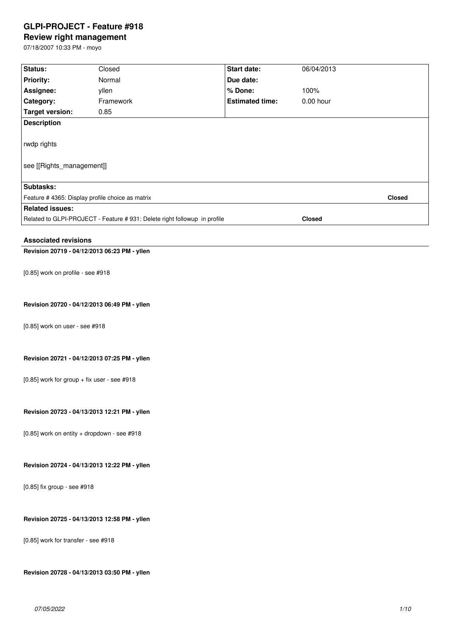# **GLPI-PROJECT - Feature #918**

# **Review right management**

07/18/2007 10:33 PM - moyo

| Status:                                                                                    | Closed    | Start date:            | 06/04/2013  |               |
|--------------------------------------------------------------------------------------------|-----------|------------------------|-------------|---------------|
| <b>Priority:</b>                                                                           | Normal    | Due date:              |             |               |
| Assignee:                                                                                  | yllen     | % Done:                | 100%        |               |
| Category:                                                                                  | Framework | <b>Estimated time:</b> | $0.00$ hour |               |
| <b>Target version:</b>                                                                     | 0.85      |                        |             |               |
| <b>Description</b>                                                                         |           |                        |             |               |
|                                                                                            |           |                        |             |               |
| rwdp rights                                                                                |           |                        |             |               |
|                                                                                            |           |                        |             |               |
| see [[Rights_management]]                                                                  |           |                        |             |               |
|                                                                                            |           |                        |             |               |
| Subtasks:                                                                                  |           |                        |             |               |
| Feature # 4365: Display profile choice as matrix                                           |           |                        |             | <b>Closed</b> |
| <b>Related issues:</b>                                                                     |           |                        |             |               |
| Related to GLPI-PROJECT - Feature # 931: Delete right followup in profile<br><b>Closed</b> |           |                        |             |               |
|                                                                                            |           |                        |             |               |
| <b>Associated revisions</b>                                                                |           |                        |             |               |
| Revision 20719 - 04/12/2013 06:23 PM - yllen                                               |           |                        |             |               |
|                                                                                            |           |                        |             |               |
|                                                                                            |           |                        |             |               |
| [0.85] work on profile - see #918                                                          |           |                        |             |               |
|                                                                                            |           |                        |             |               |
|                                                                                            |           |                        |             |               |
| Revision 20720 - 04/12/2013 06:49 PM - yllen                                               |           |                        |             |               |
|                                                                                            |           |                        |             |               |
| [0.85] work on user - see #918                                                             |           |                        |             |               |
|                                                                                            |           |                        |             |               |
|                                                                                            |           |                        |             |               |
| Revision 20721 - 04/12/2013 07:25 PM - yllen                                               |           |                        |             |               |
|                                                                                            |           |                        |             |               |
| [0.85] work for group + fix user - see #918                                                |           |                        |             |               |
|                                                                                            |           |                        |             |               |
|                                                                                            |           |                        |             |               |
| Revision 20723 - 04/13/2013 12:21 PM - yllen                                               |           |                        |             |               |
|                                                                                            |           |                        |             |               |
| [0.85] work on entity + dropdown - see #918                                                |           |                        |             |               |
|                                                                                            |           |                        |             |               |
|                                                                                            |           |                        |             |               |
| Revision 20724 - 04/13/2013 12:22 PM - yllen                                               |           |                        |             |               |
|                                                                                            |           |                        |             |               |
| [0.85] fix group - see #918                                                                |           |                        |             |               |
|                                                                                            |           |                        |             |               |
|                                                                                            |           |                        |             |               |
| Revision 20725 - 04/13/2013 12:58 PM - yllen                                               |           |                        |             |               |
|                                                                                            |           |                        |             |               |
| [0.85] work for transfer - see #918                                                        |           |                        |             |               |
|                                                                                            |           |                        |             |               |
|                                                                                            |           |                        |             |               |
| Revision 20728 - 04/13/2013 03:50 PM - yllen                                               |           |                        |             |               |
|                                                                                            |           |                        |             |               |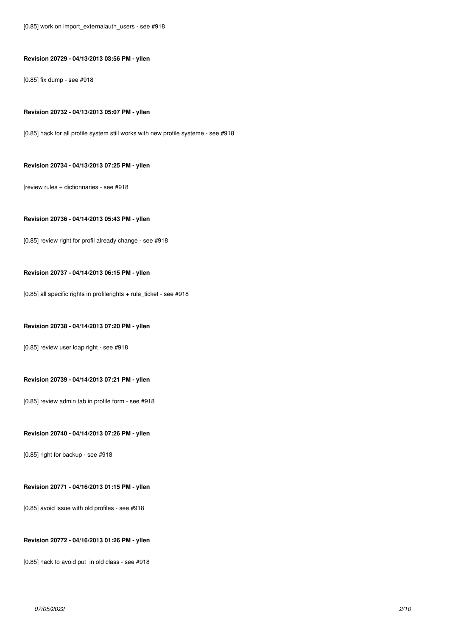[0.85] work on import\_externalauth\_users - see #918

### **Revision 20729 - 04/13/2013 03:56 PM - yllen**

[0.85] fix dump - see #918

#### **Revision 20732 - 04/13/2013 05:07 PM - yllen**

[0.85] hack for all profile system still works with new profile systeme - see #918

#### **Revision 20734 - 04/13/2013 07:25 PM - yllen**

[review rules + dictionnaries - see #918

### **Revision 20736 - 04/14/2013 05:43 PM - yllen**

[0.85] review right for profil already change - see #918

### **Revision 20737 - 04/14/2013 06:15 PM - yllen**

[0.85] all specific rights in profilerights + rule\_ticket - see #918

### **Revision 20738 - 04/14/2013 07:20 PM - yllen**

[0.85] review user ldap right - see #918

#### **Revision 20739 - 04/14/2013 07:21 PM - yllen**

[0.85] review admin tab in profile form - see #918

### **Revision 20740 - 04/14/2013 07:26 PM - yllen**

[0.85] right for backup - see #918

### **Revision 20771 - 04/16/2013 01:15 PM - yllen**

[0.85] avoid issue with old profiles - see #918

### **Revision 20772 - 04/16/2013 01:26 PM - yllen**

[0.85] hack to avoid put in old class - see #918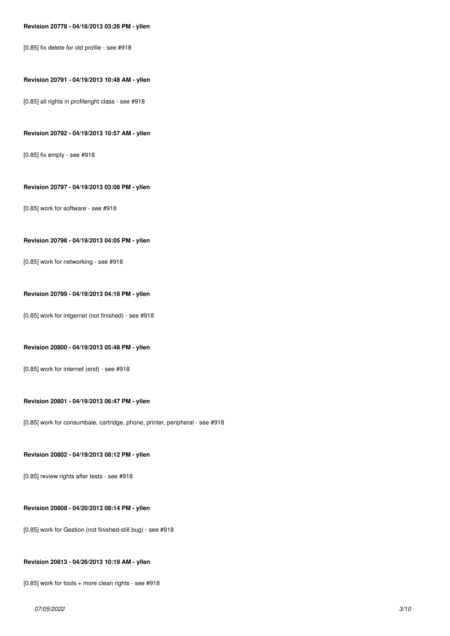#### **Revision 20778 - 04/16/2013 03:26 PM - yllen**

[0.85] fix delete for old profile - see #918

#### **Revision 20791 - 04/19/2013 10:48 AM - yllen**

[0.85] all rights in profileright class - see #918

#### **Revision 20792 - 04/19/2013 10:57 AM - yllen**

[0.85] fix empty - see #918

### **Revision 20797 - 04/19/2013 03:08 PM - yllen**

[0.85] work for software - see #918

#### **Revision 20798 - 04/19/2013 04:05 PM - yllen**

[0.85] work for networking - see #918

#### **Revision 20799 - 04/19/2013 04:18 PM - yllen**

[0.85] work for intgernet (not finished) - see #918

#### **Revision 20800 - 04/19/2013 05:48 PM - yllen**

[0.85] work for internet (end) - see #918

#### **Revision 20801 - 04/19/2013 06:47 PM - yllen**

[0.85] work for consumbale, cartridge, phone, printer, peripheral - see #918

#### **Revision 20802 - 04/19/2013 08:12 PM - yllen**

[0.85] review rights after tests - see #918

### **Revision 20808 - 04/20/2013 08:14 PM - yllen**

[0.85] work for Gestion (not finished-still bug) - see #918

#### **Revision 20813 - 04/26/2013 10:19 AM - yllen**

[0.85] work for tools + more clean rights - see #918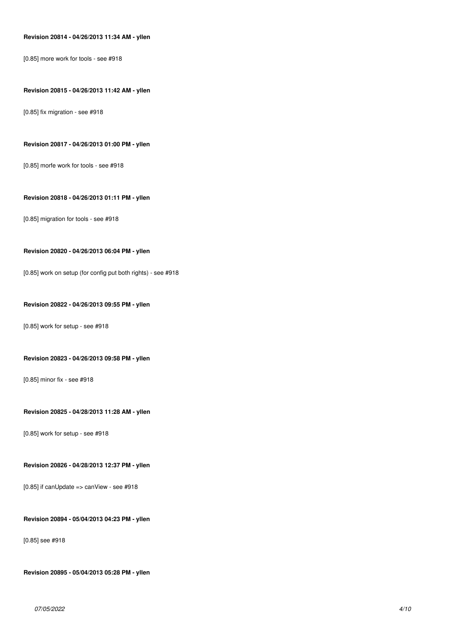### **Revision 20814 - 04/26/2013 11:34 AM - yllen**

[0.85] more work for tools - see #918

#### **Revision 20815 - 04/26/2013 11:42 AM - yllen**

[0.85] fix migration - see #918

### **Revision 20817 - 04/26/2013 01:00 PM - yllen**

[0.85] morfe work for tools - see #918

### **Revision 20818 - 04/26/2013 01:11 PM - yllen**

[0.85] migration for tools - see #918

### **Revision 20820 - 04/26/2013 06:04 PM - yllen**

[0.85] work on setup (for config put both rights) - see #918

#### **Revision 20822 - 04/26/2013 09:55 PM - yllen**

[0.85] work for setup - see #918

#### **Revision 20823 - 04/26/2013 09:58 PM - yllen**

[0.85] minor fix - see #918

#### **Revision 20825 - 04/28/2013 11:28 AM - yllen**

[0.85] work for setup - see #918

#### **Revision 20826 - 04/28/2013 12:37 PM - yllen**

[0.85] if canUpdate => canView - see #918

### **Revision 20894 - 05/04/2013 04:23 PM - yllen**

[0.85] see #918

**Revision 20895 - 05/04/2013 05:28 PM - yllen**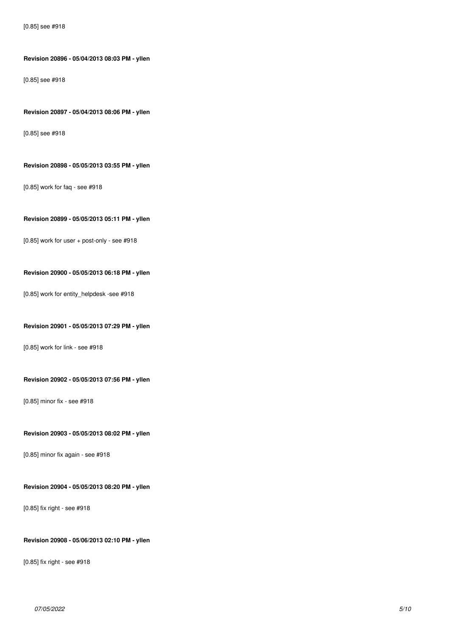**Revision 20896 - 05/04/2013 08:03 PM - yllen**

[0.85] see #918

#### **Revision 20897 - 05/04/2013 08:06 PM - yllen**

[0.85] see #918

#### **Revision 20898 - 05/05/2013 03:55 PM - yllen**

[0.85] work for faq - see #918

### **Revision 20899 - 05/05/2013 05:11 PM - yllen**

[0.85] work for user + post-only - see #918

### **Revision 20900 - 05/05/2013 06:18 PM - yllen**

[0.85] work for entity\_helpdesk -see #918

### **Revision 20901 - 05/05/2013 07:29 PM - yllen**

[0.85] work for link - see #918

#### **Revision 20902 - 05/05/2013 07:56 PM - yllen**

[0.85] minor fix - see #918

### **Revision 20903 - 05/05/2013 08:02 PM - yllen**

[0.85] minor fix again - see #918

### **Revision 20904 - 05/05/2013 08:20 PM - yllen**

[0.85] fix right - see #918

## **Revision 20908 - 05/06/2013 02:10 PM - yllen**

[0.85] fix right - see #918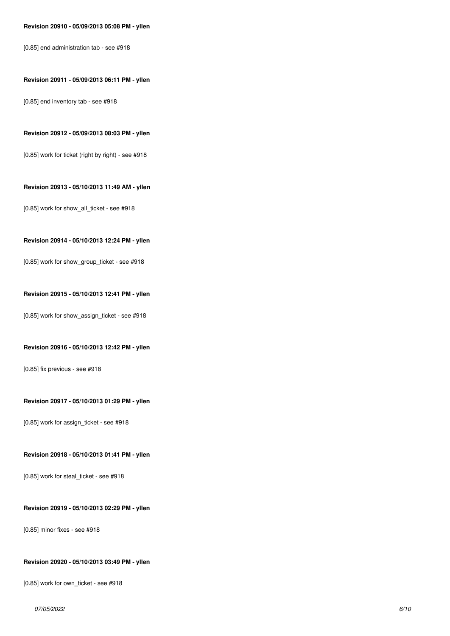#### **Revision 20910 - 05/09/2013 05:08 PM - yllen**

[0.85] end administration tab - see #918

### **Revision 20911 - 05/09/2013 06:11 PM - yllen**

[0.85] end inventory tab - see #918

#### **Revision 20912 - 05/09/2013 08:03 PM - yllen**

[0.85] work for ticket (right by right) - see #918

### **Revision 20913 - 05/10/2013 11:49 AM - yllen**

[0.85] work for show\_all\_ticket - see #918

#### **Revision 20914 - 05/10/2013 12:24 PM - yllen**

[0.85] work for show\_group\_ticket - see #918

#### **Revision 20915 - 05/10/2013 12:41 PM - yllen**

[0.85] work for show\_assign\_ticket - see #918

#### **Revision 20916 - 05/10/2013 12:42 PM - yllen**

[0.85] fix previous - see #918

#### **Revision 20917 - 05/10/2013 01:29 PM - yllen**

[0.85] work for assign\_ticket - see #918

### **Revision 20918 - 05/10/2013 01:41 PM - yllen**

[0.85] work for steal\_ticket - see #918

### **Revision 20919 - 05/10/2013 02:29 PM - yllen**

[0.85] minor fixes - see #918

#### **Revision 20920 - 05/10/2013 03:49 PM - yllen**

[0.85] work for own\_ticket - see #918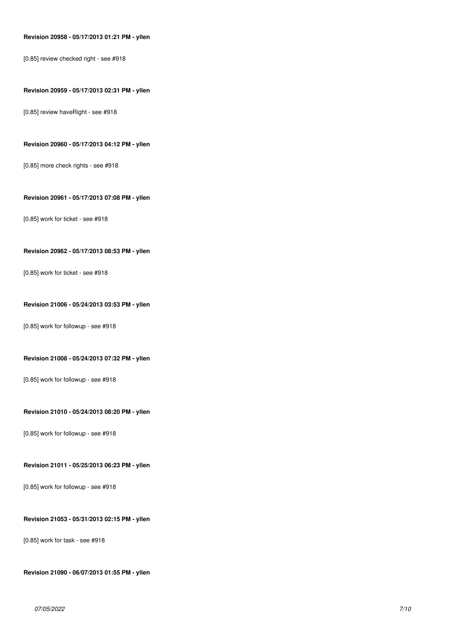### **Revision 20958 - 05/17/2013 01:21 PM - yllen**

[0.85] review checked right - see #918

#### **Revision 20959 - 05/17/2013 02:31 PM - yllen**

[0.85] review haveRight - see #918

### **Revision 20960 - 05/17/2013 04:12 PM - yllen**

[0.85] more check rights - see #918

### **Revision 20961 - 05/17/2013 07:08 PM - yllen**

[0.85] work for ticket - see #918

### **Revision 20962 - 05/17/2013 08:53 PM - yllen**

[0.85] work for ticket - see #918

#### **Revision 21006 - 05/24/2013 03:53 PM - yllen**

[0.85] work for followup - see #918

#### **Revision 21008 - 05/24/2013 07:32 PM - yllen**

[0.85] work for followup - see #918

### **Revision 21010 - 05/24/2013 08:20 PM - yllen**

[0.85] work for followup - see #918

#### **Revision 21011 - 05/25/2013 06:23 PM - yllen**

[0.85] work for followup - see #918

### **Revision 21053 - 05/31/2013 02:15 PM - yllen**

[0.85] work for task - see #918

**Revision 21090 - 06/07/2013 01:55 PM - yllen**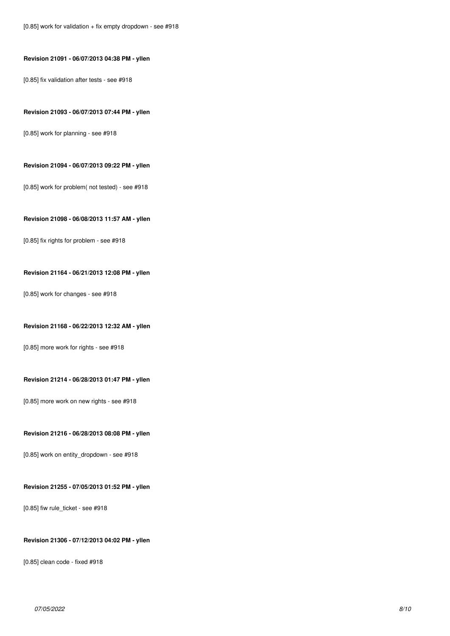# **Revision 21091 - 06/07/2013 04:38 PM - yllen**

[0.85] fix validation after tests - see #918

#### **Revision 21093 - 06/07/2013 07:44 PM - yllen**

[0.85] work for planning - see #918

#### **Revision 21094 - 06/07/2013 09:22 PM - yllen**

[0.85] work for problem( not tested) - see #918

### **Revision 21098 - 06/08/2013 11:57 AM - yllen**

[0.85] fix rights for problem - see #918

### **Revision 21164 - 06/21/2013 12:08 PM - yllen**

[0.85] work for changes - see #918

### **Revision 21168 - 06/22/2013 12:32 AM - yllen**

[0.85] more work for rights - see #918

### **Revision 21214 - 06/28/2013 01:47 PM - yllen**

[0.85] more work on new rights - see #918

# **Revision 21216 - 06/28/2013 08:08 PM - yllen**

[0.85] work on entity\_dropdown - see #918

### **Revision 21255 - 07/05/2013 01:52 PM - yllen**

[0.85] fiw rule\_ticket - see #918

### **Revision 21306 - 07/12/2013 04:02 PM - yllen**

[0.85] clean code - fixed #918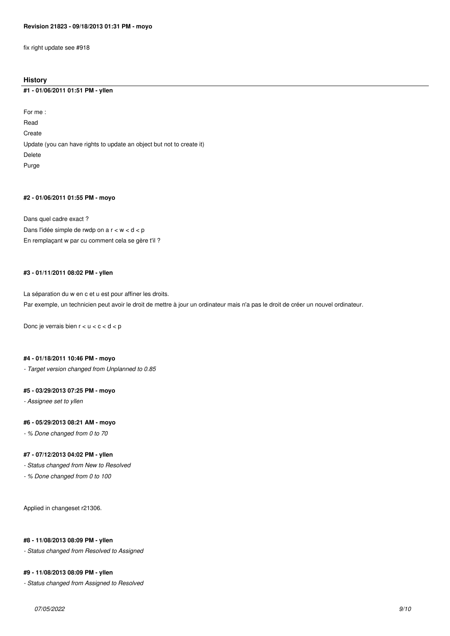fix right update see #918

### **History**

#### **#1 - 01/06/2011 01:51 PM - yllen**

For me : Read Create Update (you can have rights to update an object but not to create it) Delete Purge

#### **#2 - 01/06/2011 01:55 PM - moyo**

Dans quel cadre exact ? Dans l'idée simple de rwdp on a r < w < d < p En remplaçant w par cu comment cela se gère t'il ?

### **#3 - 01/11/2011 08:02 PM - yllen**

La séparation du w en c et u est pour affiner les droits. Par exemple, un technicien peut avoir le droit de mettre à jour un ordinateur mais n'a pas le droit de créer un nouvel ordinateur.

Donc je verrais bien  $r < u < c < d < p$ 

#### **#4 - 01/18/2011 10:46 PM - moyo**

*- Target version changed from Unplanned to 0.85*

### **#5 - 03/29/2013 07:25 PM - moyo**

*- Assignee set to yllen*

### **#6 - 05/29/2013 08:21 AM - moyo**

*- % Done changed from 0 to 70*

### **#7 - 07/12/2013 04:02 PM - yllen**

*- Status changed from New to Resolved*

*- % Done changed from 0 to 100*

Applied in changeset r21306.

### **#8 - 11/08/2013 08:09 PM - yllen**

*- Status changed from Resolved to Assigned*

#### **#9 - 11/08/2013 08:09 PM - yllen**

*- Status changed from Assigned to Resolved*